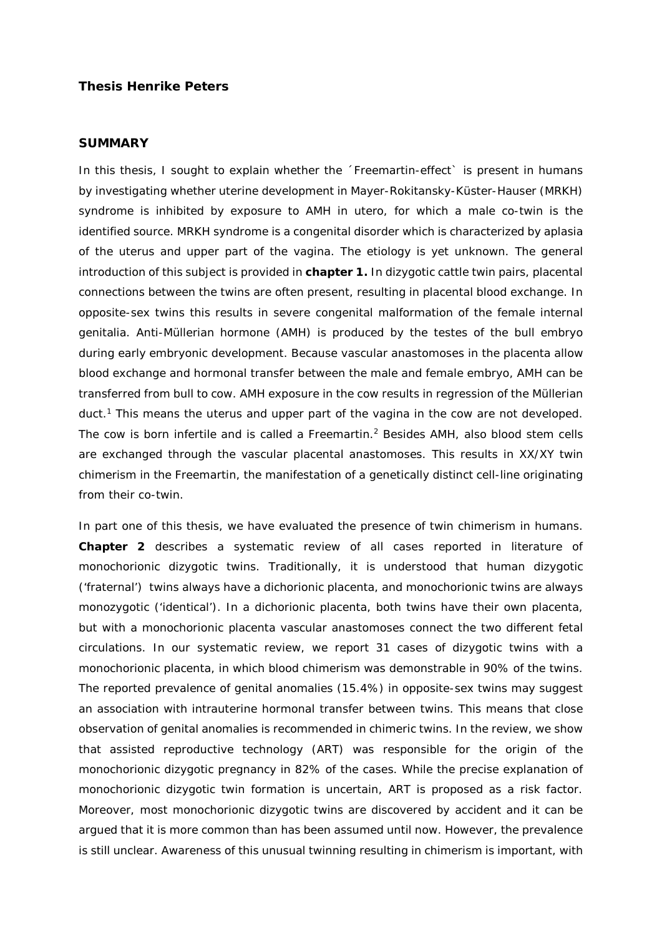## **Thesis Henrike Peters**

## **SUMMARY**

In this thesis, I sought to explain whether the 'Freemartin-effect' is present in humans by investigating whether uterine development in Mayer-Rokitansky-Küster-Hauser (MRKH) syndrome is inhibited by exposure to AMH in utero, for which a male co-twin is the identified source. MRKH syndrome is a congenital disorder which is characterized by aplasia of the uterus and upper part of the vagina. The etiology is yet unknown. The general introduction of this subject is provided in **chapter 1.** In dizygotic cattle twin pairs, placental connections between the twins are often present, resulting in placental blood exchange. In opposite-sex twins this results in severe congenital malformation of the female internal genitalia. Anti-Müllerian hormone (AMH) is produced by the testes of the bull embryo during early embryonic development. Because vascular anastomoses in the placenta allow blood exchange and hormonal transfer between the male and female embryo, AMH can be transferred from bull to cow. AMH exposure in the cow results in regression of the Müllerian duct.<sup>1</sup> This means the uterus and upper part of the vagina in the cow are not developed. The cow is born infertile and is called a Freemartin.<sup>2</sup> Besides AMH, also blood stem cells are exchanged through the vascular placental anastomoses. This results in XX/XY twin chimerism in the Freemartin, the manifestation of a genetically distinct cell-line originating from their co-twin.

In part one of this thesis, we have evaluated the presence of twin chimerism in humans. **Chapter 2** describes a systematic review of all cases reported in literature of monochorionic dizygotic twins. Traditionally, it is understood that human dizygotic ('fraternal') twins always have a dichorionic placenta, and monochorionic twins are always monozygotic ('identical'). In a dichorionic placenta, both twins have their own placenta, but with a monochorionic placenta vascular anastomoses connect the two different fetal circulations. In our systematic review, we report 31 cases of dizygotic twins with a monochorionic placenta, in which blood chimerism was demonstrable in 90% of the twins. The reported prevalence of genital anomalies (15.4%) in opposite-sex twins may suggest an association with intrauterine hormonal transfer between twins. This means that close observation of genital anomalies is recommended in chimeric twins. In the review, we show that assisted reproductive technology (ART) was responsible for the origin of the monochorionic dizygotic pregnancy in 82% of the cases. While the precise explanation of monochorionic dizygotic twin formation is uncertain, ART is proposed as a risk factor. Moreover, most monochorionic dizygotic twins are discovered by accident and it can be argued that it is more common than has been assumed until now. However, the prevalence is still unclear. Awareness of this unusual twinning resulting in chimerism is important, with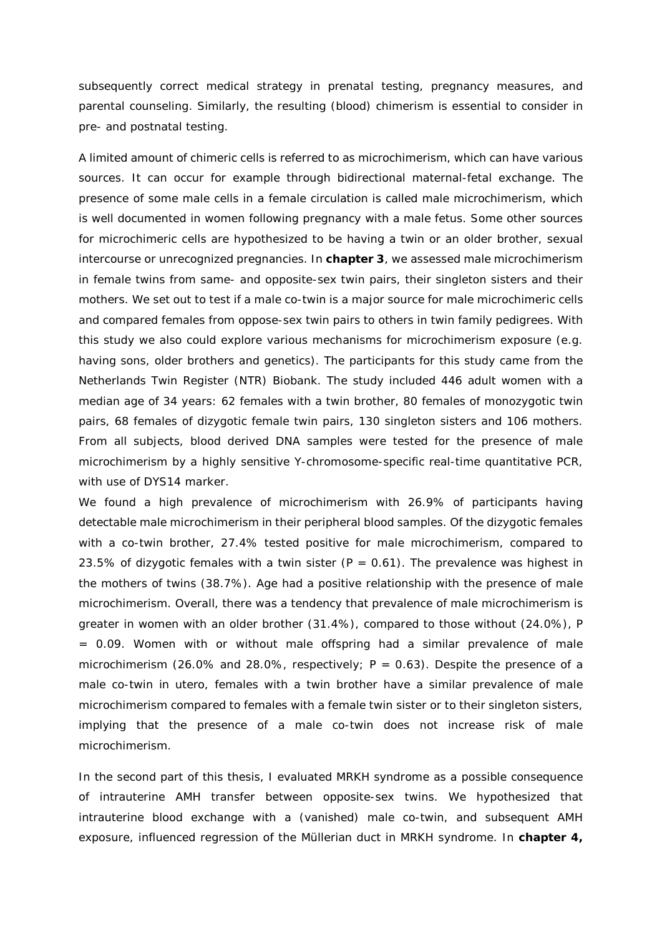subsequently correct medical strategy in prenatal testing, pregnancy measures, and parental counseling. Similarly, the resulting (blood) chimerism is essential to consider in pre- and postnatal testing.

A limited amount of chimeric cells is referred to as microchimerism, which can have various sources. It can occur for example through bidirectional maternal-fetal exchange. The presence of some male cells in a female circulation is called male microchimerism, which is well documented in women following pregnancy with a male fetus. Some other sources for microchimeric cells are hypothesized to be having a twin or an older brother, sexual intercourse or unrecognized pregnancies. In **chapter 3**, we assessed male microchimerism in female twins from same- and opposite-sex twin pairs, their singleton sisters and their mothers. We set out to test if a male co-twin is a major source for male microchimeric cells and compared females from oppose-sex twin pairs to others in twin family pedigrees. With this study we also could explore various mechanisms for microchimerism exposure (e.g. having sons, older brothers and genetics). The participants for this study came from the Netherlands Twin Register (NTR) Biobank. The study included 446 adult women with a median age of 34 years: 62 females with a twin brother, 80 females of monozygotic twin pairs, 68 females of dizygotic female twin pairs, 130 singleton sisters and 106 mothers. From all subjects, blood derived DNA samples were tested for the presence of male microchimerism by a highly sensitive Y-chromosome-specific real-time quantitative PCR, with use of DYS14 marker.

We found a high prevalence of microchimerism with 26.9% of participants having detectable male microchimerism in their peripheral blood samples. Of the dizygotic females with a co-twin brother, 27.4% tested positive for male microchimerism, compared to 23.5% of dizygotic females with a twin sister ( $P = 0.61$ ). The prevalence was highest in the mothers of twins (38.7%). Age had a positive relationship with the presence of male microchimerism. Overall, there was a tendency that prevalence of male microchimerism is greater in women with an older brother (31.4%), compared to those without (24.0%), P = 0.09. Women with or without male offspring had a similar prevalence of male microchimerism (26.0% and 28.0%, respectively;  $P = 0.63$ ). Despite the presence of a male co-twin in utero, females with a twin brother have a similar prevalence of male microchimerism compared to females with a female twin sister or to their singleton sisters, implying that the presence of a male co-twin does not increase risk of male microchimerism.

In the second part of this thesis, I evaluated MRKH syndrome as a possible consequence of intrauterine AMH transfer between opposite-sex twins. We hypothesized that intrauterine blood exchange with a (vanished) male co-twin, and subsequent AMH exposure, influenced regression of the Müllerian duct in MRKH syndrome. In **chapter 4,**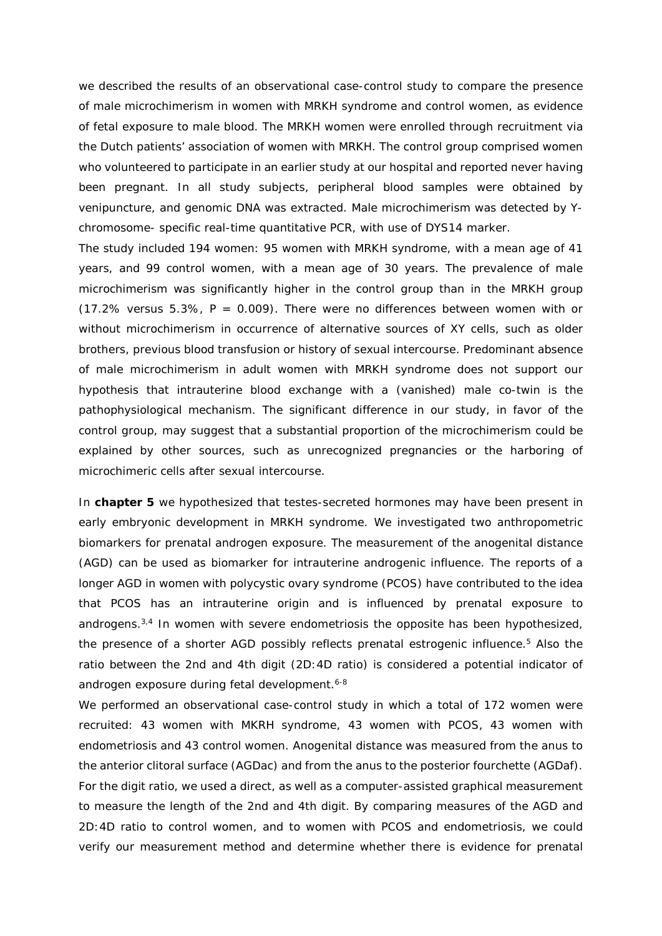we described the results of an observational case-control study to compare the presence of male microchimerism in women with MRKH syndrome and control women, as evidence of fetal exposure to male blood. The MRKH women were enrolled through recruitment via the Dutch patients' association of women with MRKH. The control group comprised women who volunteered to participate in an earlier study at our hospital and reported never having been pregnant. In all study subjects, peripheral blood samples were obtained by venipuncture, and genomic DNA was extracted. Male microchimerism was detected by Ychromosome- specific real-time quantitative PCR, with use of DYS14 marker.

The study included 194 women: 95 women with MRKH syndrome, with a mean age of 41 years, and 99 control women, with a mean age of 30 years. The prevalence of male microchimerism was significantly higher in the control group than in the MRKH group  $(17.2\%$  versus 5.3%, P = 0.009). There were no differences between women with or without microchimerism in occurrence of alternative sources of XY cells, such as older brothers, previous blood transfusion or history of sexual intercourse. Predominant absence of male microchimerism in adult women with MRKH syndrome does not support our hypothesis that intrauterine blood exchange with a (vanished) male co-twin is the pathophysiological mechanism. The significant difference in our study, in favor of the control group, may suggest that a substantial proportion of the microchimerism could be explained by other sources, such as unrecognized pregnancies or the harboring of microchimeric cells after sexual intercourse.

In **chapter 5** we hypothesized that testes-secreted hormones may have been present in early embryonic development in MRKH syndrome. We investigated two anthropometric biomarkers for prenatal androgen exposure. The measurement of the anogenital distance (AGD) can be used as biomarker for intrauterine androgenic influence. The reports of a longer AGD in women with polycystic ovary syndrome (PCOS) have contributed to the idea that PCOS has an intrauterine origin and is influenced by prenatal exposure to androgens.3,4 In women with severe endometriosis the opposite has been hypothesized, the presence of a shorter AGD possibly reflects prenatal estrogenic influence.<sup>5</sup> Also the ratio between the 2nd and 4th digit (2D:4D ratio) is considered a potential indicator of androgen exposure during fetal development.<sup>6-8</sup>

We performed an observational case-control study in which a total of 172 women were recruited: 43 women with MKRH syndrome, 43 women with PCOS, 43 women with endometriosis and 43 control women. Anogenital distance was measured from the anus to the anterior clitoral surface (AGDac) and from the anus to the posterior fourchette (AGDaf). For the digit ratio, we used a direct, as well as a computer-assisted graphical measurement to measure the length of the 2nd and 4th digit. By comparing measures of the AGD and 2D:4D ratio to control women, and to women with PCOS and endometriosis, we could verify our measurement method and determine whether there is evidence for prenatal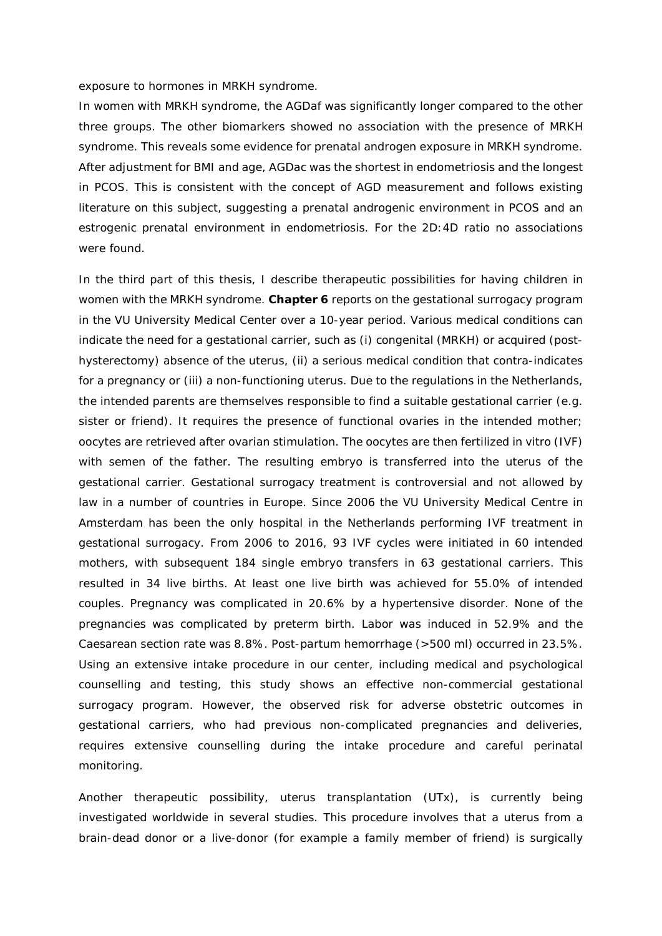## exposure to hormones in MRKH syndrome.

In women with MRKH syndrome, the AGDaf was significantly longer compared to the other three groups. The other biomarkers showed no association with the presence of MRKH syndrome. This reveals some evidence for prenatal androgen exposure in MRKH syndrome. After adjustment for BMI and age, AGDac was the shortest in endometriosis and the longest in PCOS. This is consistent with the concept of AGD measurement and follows existing literature on this subject, suggesting a prenatal androgenic environment in PCOS and an estrogenic prenatal environment in endometriosis. For the 2D:4D ratio no associations were found.

In the third part of this thesis, I describe therapeutic possibilities for having children in women with the MRKH syndrome. **Chapter 6** reports on the gestational surrogacy program in the VU University Medical Center over a 10-year period. Various medical conditions can indicate the need for a gestational carrier, such as (i) congenital (MRKH) or acquired (posthysterectomy) absence of the uterus, (ii) a serious medical condition that contra-indicates for a pregnancy or (iii) a non-functioning uterus. Due to the regulations in the Netherlands, the intended parents are themselves responsible to find a suitable gestational carrier (e.g. sister or friend). It requires the presence of functional ovaries in the intended mother; oocytes are retrieved after ovarian stimulation. The oocytes are then fertilized *in vitro* (IVF) with semen of the father. The resulting embryo is transferred into the uterus of the gestational carrier. Gestational surrogacy treatment is controversial and not allowed by law in a number of countries in Europe. Since 2006 the VU University Medical Centre in Amsterdam has been the only hospital in the Netherlands performing IVF treatment in gestational surrogacy. From 2006 to 2016, 93 IVF cycles were initiated in 60 intended mothers, with subsequent 184 single embryo transfers in 63 gestational carriers. This resulted in 34 live births. At least one live birth was achieved for 55.0% of intended couples. Pregnancy was complicated in 20.6% by a hypertensive disorder. None of the pregnancies was complicated by preterm birth. Labor was induced in 52.9% and the Caesarean section rate was 8.8%. Post-partum hemorrhage (>500 ml) occurred in 23.5%. Using an extensive intake procedure in our center, including medical and psychological counselling and testing, this study shows an effective non-commercial gestational surrogacy program. However, the observed risk for adverse obstetric outcomes in gestational carriers, who had previous non-complicated pregnancies and deliveries, requires extensive counselling during the intake procedure and careful perinatal monitoring.

Another therapeutic possibility, uterus transplantation (UTx), is currently being investigated worldwide in several studies. This procedure involves that a uterus from a brain-dead donor or a live-donor (for example a family member of friend) is surgically